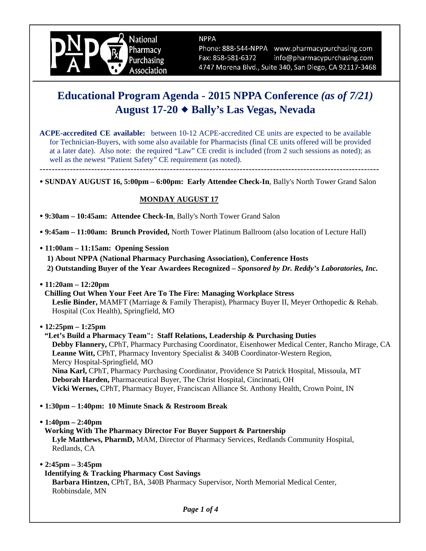

**NPPA** 

Phone: 888-544-NPPA www.pharmacypurchasing.com Fax: 858-581-6372 info@pharmacypurchasing.com 4747 Morena Blvd., Suite 340, San Diego, CA 92117-3468

# **Educational Program Agenda - 2015 NPPA Conference** *(as of 7/21)*  **August 17-20 Bally's Las Vegas, Nevada**

**ACPE-accredited CE available:** between 10-12 ACPE-accredited CE units are expected to be available for Technician-Buyers, with some also available for Pharmacists (final CE units offered will be provided at a later date). Also note: the required "Law" CE credit is included (from 2 such sessions as noted); as well as the newest "Patient Safety" CE requirement (as noted).

 **SUNDAY AUGUST 16, 5:00pm – 6:00pm: Early Attendee Check-In**, Bally's North Tower Grand Salon

#### **MONDAY AUGUST 17**

 **9:30am – 10:45am: Attendee Check-In**, Bally's North Tower Grand Salon

----------------------------------------------------------------------------------------------------------------

 **9:45am – 11:00am: Brunch Provided,** North Tower Platinum Ballroom (also location of Lecture Hall)

 **11:00am – 11:15am: Opening Session** 

**1) About NPPA (National Pharmacy Purchasing Association), Conference Hosts 2) Outstanding Buyer of the Year Awardees Recognized –** *Sponsored by Dr. Reddy's Laboratories, Inc.*

 **11:20am – 12:20pm** 

**Chilling Out When Your Feet Are To The Fire: Managing Workplace Stress Leslie Binder,** MAMFT (Marriage & Family Therapist), Pharmacy Buyer II, Meyer Orthopedic & Rehab. Hospital (Cox Health), Springfield, MO

 **12:25pm – 1:25pm** 

**"Let's Build a Pharmacy Team": Staff Relations, Leadership & Purchasing Duties Debby Flannery,** CPhT, Pharmacy Purchasing Coordinator, Eisenhower Medical Center, Rancho Mirage, CA **Leanne Witt,** CPhT, Pharmacy Inventory Specialist & 340B Coordinator-Western Region, Mercy Hospital-Springfield, MO **Nina Karl,** CPhT, Pharmacy Purchasing Coordinator, Providence St Patrick Hospital, Missoula, MT **Deborah Harden,** Pharmaceutical Buyer, The Christ Hospital, Cincinnati, OH **Vicki Wernes,** CPhT, Pharmacy Buyer, Franciscan Alliance St. Anthony Health, Crown Point, IN

- **1:30pm 1:40pm: 10 Minute Snack & Restroom Break**
- **1:40pm 2:40pm**

**Working With The Pharmacy Director For Buyer Support & Partnership Lyle Matthews, PharmD,** MAM, Director of Pharmacy Services, Redlands Community Hospital, Redlands, CA

 **2:45pm – 3:45pm** 

#### **Identifying & Tracking Pharmacy Cost Savings**

**Barbara Hintzen,** CPhT, BA, 340B Pharmacy Supervisor, North Memorial Medical Center, Robbinsdale, MN

*Page 1 of 4*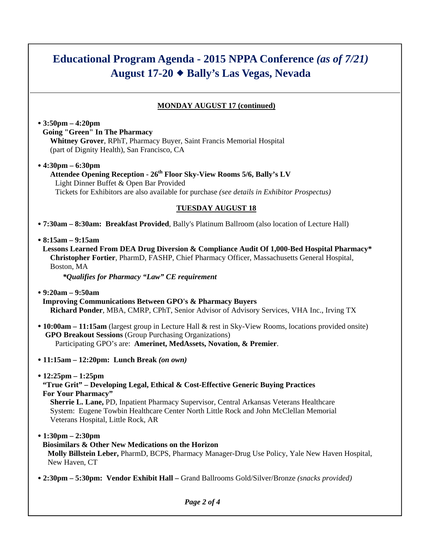# **Educational Program Agenda - 2015 NPPA Conference** *(as of 7/21)*  **August 17-20 Bally's Las Vegas, Nevada**

### **MONDAY AUGUST 17 (continued)**

## **3:50pm – 4:20pm Going "Green" In The Pharmacy**

**Whitney Grover**, RPhT, Pharmacy Buyer, Saint Francis Memorial Hospital (part of Dignity Health), San Francisco, CA

### **4:30pm – 6:30pm**

#### Attendee Opening Reception - 26<sup>th</sup> Floor Sky-View Rooms 5/6, Bally's LV Light Dinner Buffet & Open Bar Provided Tickets for Exhibitors are also available for purchase *(see details in Exhibitor Prospectus)*

#### **TUESDAY AUGUST 18**

 **7:30am – 8:30am: Breakfast Provided**, Bally's Platinum Ballroom (also location of Lecture Hall)

#### **8:15am – 9:15am**

**Lessons Learned From DEA Drug Diversion & Compliance Audit Of 1,000-Bed Hospital Pharmacy\* Christopher Fortier**, PharmD, FASHP, Chief Pharmacy Officer, Massachusetts General Hospital, Boston, MA

 *\*Qualifies for Pharmacy "Law" CE requirement*

- **9:20am 9:50am Improving Communications Between GPO's & Pharmacy Buyers Richard Ponder**, MBA, CMRP, CPhT, Senior Advisor of Advisory Services, VHA Inc., Irving TX
- **10:00am 11:15am** (largest group in Lecture Hall & rest in Sky-View Rooms, locations provided onsite) **GPO Breakout Sessions** (Group Purchasing Organizations) Participating GPO's are: **Amerinet, MedAssets, Novation, & Premier**.
- **11:15am 12:20pm: Lunch Break** *(on own)*
- **12:25pm 1:25pm**

#### **"True Grit" – Developing Legal, Ethical & Cost-Effective Generic Buying Practices For Your Pharmacy"**

**Sherrie L. Lane,** PD, Inpatient Pharmacy Supervisor, Central Arkansas Veterans Healthcare System: Eugene Towbin Healthcare Center North Little Rock and John McClellan Memorial Veterans Hospital, Little Rock, AR

 **1:30pm – 2:30pm** 

#### **Biosimilars & Other New Medications on the Horizon**

**Molly Billstein Leber,** PharmD, BCPS, Pharmacy Manager-Drug Use Policy, Yale New Haven Hospital, New Haven, CT

 **2:30pm – 5:30pm: Vendor Exhibit Hall –** Grand Ballrooms Gold/Silver/Bronze *(snacks provided)*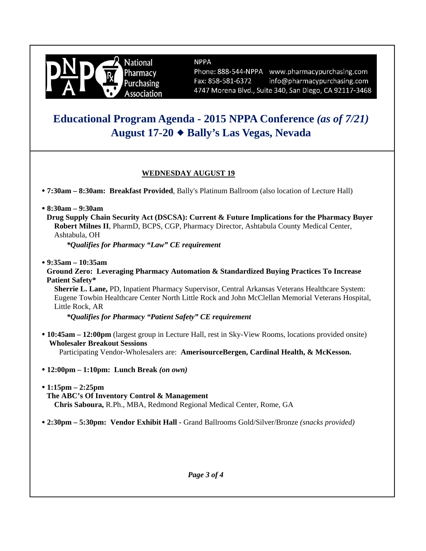

#### **NPPA**

Phone: 888-544-NPPA www.pharmacypurchasing.com Fax: 858-581-6372 info@pharmacypurchasing.com 4747 Morena Blvd., Suite 340, San Diego, CA 92117-3468

## **Educational Program Agenda - 2015 NPPA Conference** *(as of 7/21)*  **August 17-20 Bally's Las Vegas, Nevada**

### **WEDNESDAY AUGUST 19**

 **7:30am – 8:30am: Breakfast Provided**, Bally's Platinum Ballroom (also location of Lecture Hall)

- **8:30am 9:30am**
	- **Drug Supply Chain Security Act (DSCSA): Current & Future Implications for the Pharmacy Buyer Robert Milnes II**, PharmD, BCPS, CGP, Pharmacy Director, Ashtabula County Medical Center, Ashtabula, OH

 *\*Qualifies for Pharmacy "Law" CE requirement*

 **9:35am – 10:35am**

#### **Ground Zero: Leveraging Pharmacy Automation & Standardized Buying Practices To Increase Patient Safety\***

**Sherrie L. Lane,** PD, Inpatient Pharmacy Supervisor, Central Arkansas Veterans Healthcare System: Eugene Towbin Healthcare Center North Little Rock and John McClellan Memorial Veterans Hospital, Little Rock, AR

*\*Qualifies for Pharmacy "Patient Safety" CE requirement*

 **10:45am – 12:00pm** (largest group in Lecture Hall, rest in Sky-View Rooms, locations provided onsite) **Wholesaler Breakout Sessions** 

Participating Vendor-Wholesalers are: **AmerisourceBergen, Cardinal Health, & McKesson.** 

- **12:00pm 1:10pm: Lunch Break** *(on own)*
- **1:15pm 2:25pm The ABC's Of Inventory Control & Management Chris Saboura,** R.Ph., MBA, Redmond Regional Medical Center, Rome, GA
- **2:30pm 5:30pm: Vendor Exhibit Hall** Grand Ballrooms Gold/Silver/Bronze *(snacks provided)*